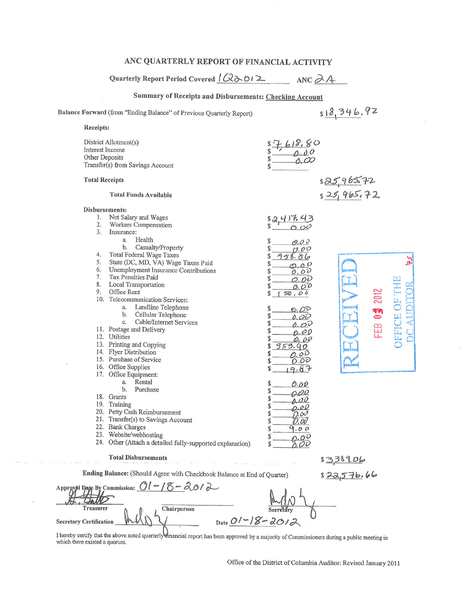## ANC QUARTERLY REPORT OF FINANCIAL ACTIVITY

Quarterly Report Period Covered  $\sqrt{(2\delta \delta)^2}$  ANC  $\partial A$ 

Summary of Receipts and Disbursements: Checking Account

 $818,346.92$ Balance Forward (from "Ending Balance" of Previous Quarterly Report) Receipts: District Allotment(s)  $-618.80$ <br>0.00 Interest Income Other Deposits Transfer(s) from Savings Account **Total Receipts**  $825965.72$  $s25,965,72$ **Total Funds Available** Disbursements: 1. Net Salary and Wages  $82417.43$  $2.$ Workers Compensation  $000$  $\overline{3}$ . Insurance: a. Health  $0.00$ Casualty/Property  $\mathbf{b}$ .  $\mathcal{S}$  $0.00$ 4. Total Federal Wage Taxes \$  $958.86$  $\frac{5}{4}$ State (DC, MD, VA) Wage Taxes Paid 5.  $\mathcal{S}$  $\circ$   $\circ$   $\circ$ 6. Unemployment Insurance Contributions \$  $0,00$ 7. Tax Penalties Paid \$  $0.00$ 8. **Local Transportation** \$  $0.00$ 9. Office Rent 2012 \$  $50,00$ 10. Telecommunication Services: DEFICE OF Landline Telephone FEB 03 a. \$  $O.00$ b. Cellular Telephone  $\mathcal{S}$  $0.00$ Cable/Internet Services c.  $\mathcal{S}$  $0.00$ 11. Postage and Delivery \$  $\rho$ .00 12. Utilities \$ 0.00 13. Printing and Copying  $353.90$ \$ 14. Flyer Distribution  $0.00$ \$ 15. Purchase of Service O.DO \$ 16. Office Supplies  $9 - 67$ 17. Office Equipment: a. Rental  $\mathbb{S}$ 0.00  $<sub>b</sub>$ </sub> Purchase  $\mathbb{S}$  $0.00$ 18. Grants  $\mathcal{S}$  $0.00$ 19. Training \$  $.00$ 20. Petty Cash Reimbursement \$ 200 21. Transfer(s) to Savings Account  $\mathbb{S}$ 0. ov 22. Bank Charges \$  $9.00$ 23. Website/webhosting  $0.00$ \$ 24. Other (Attach a detailed fully-supported explanation)  $0.00$ \$ **Total Disbursements** 83389.06 Ending Balance: (Should Agree with Checkbook Balance at End of Quarter)  $$22,576.66$ Approval Date By Commission:  $01 - 18 - 2012$ Jallo Treasurer Chairperson

I hereby certify that the above noted quarterly mancial report has been approved by a majority of Commissioners during a public meeting in which there existed a quorum.

**Secretary Certification** 

Date  $01 - 18 - 2012$ 

Office of the District of Columbia Auditor: Revised January 2011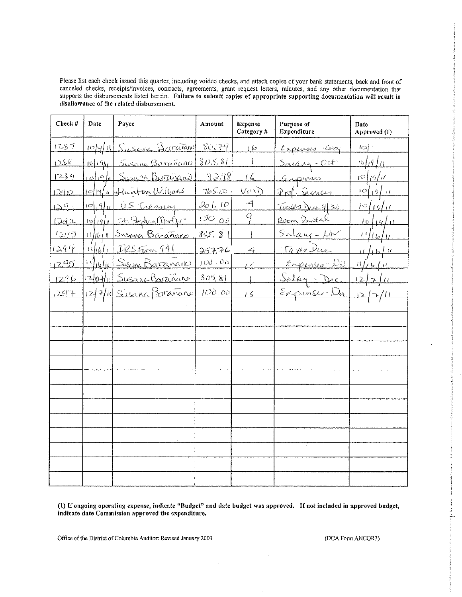Please list each check issued this quarter, including voided checks, and attach copies of your bank statements, back and front of canceled checks, receipts/invoices, contracts, agreements, grant request letters, minutes, and any other documentation that supports the disbursements listed herein. Failure to submit copies of appropriate supporting docum disallowance of the related disbursement.

| Check #       | Date                 | Payee                          | Amount  | <b>Expense</b><br>Category # | Purpose of<br>Expenditure | Date<br>Approved (1)                                       |
|---------------|----------------------|--------------------------------|---------|------------------------------|---------------------------|------------------------------------------------------------|
| 1287          |                      | 10/4/11 Susana Barañono        | 80.79   | ی) ی                         | <u>Expenses Copy</u>      | ≀⇔∤∸                                                       |
| 1288          |                      | <u>10/19/1 Susana Barañaro</u> | 805, 81 |                              | <u>Salany-Oct</u>         | 16/19/4                                                    |
| 1289          |                      | 10/19/11 Susana Barañano       | 92.98   | $\ell$                       | <u>G navez</u>            | $\lvert \mathcal{D} \rvert$ if $\lvert \mathcal{U} \rvert$ |
| <u> 1290 </u> |                      | 10/19/11 Hunton Williams       | 765.00  | VOID                         | <u>Prof Sema</u>          | $10\{13\}$ 1                                               |
| 129           | $\mathcal{O}[19]$    | <u>US Treasin</u>              | 201.10  | -4                           | Taxes Due 9/30            | <u>i¤figfu</u>                                             |
| 1242          |                      | $log q _l $ St. Septem Martyr  | 150,00  | q                            | Room Rental               | $10$ $1/6$ $1/1$                                           |
| 1293          |                      | 11/16/11 Susana Barañano       | 805. 8  |                              | $Salauf - LbV$            | 11610                                                      |
| 1294          | $\frac{1}{\sqrt{2}}$ | IRS From 941                   | 25776   | $\leftrightarrow$            | Taxes Due                 | $h \, h \, h$                                              |
| 1295          |                      | 1944 Sixin Baramano            | 100.06  | $\overline{\mathcal{L}}$     | <u>Expension Dal</u>      | $\frac{1}{2}$ (1) $\frac{1}{2}$ (1) $\frac{1}{2}$          |
| 1296          |                      | 1201/1 Susance Berrinance      | 805, 81 |                              | <u> Salay - Dec</u>       | 12.                                                        |
| 1297          |                      | 12/7/11 Sisana Barañaro        | 100.00  | 16                           | <u>Expires-Da</u>         | $\Box$ $\Box$                                              |
|               |                      |                                |         |                              |                           |                                                            |
|               |                      |                                |         |                              |                           |                                                            |
|               |                      |                                |         |                              |                           |                                                            |
|               |                      |                                |         |                              |                           |                                                            |
|               |                      |                                |         |                              |                           |                                                            |
|               |                      |                                |         |                              |                           |                                                            |
|               |                      |                                |         |                              |                           |                                                            |
|               |                      |                                |         |                              |                           |                                                            |
|               |                      |                                |         |                              |                           |                                                            |
|               |                      |                                |         |                              |                           |                                                            |
|               |                      |                                |         |                              |                           |                                                            |
|               |                      |                                |         |                              |                           |                                                            |
|               |                      |                                |         |                              |                           |                                                            |

(1) If ongoing operating expense, indicate "Budget" and date budget was approved. If not included in approved budget, indicate date Commission approved the expenditure.

Office of the District of Columbia Auditor: Revised January 2003

(DCA Form ANCQR3)

فاهدا إحصيصه

Ţ

**Montana**